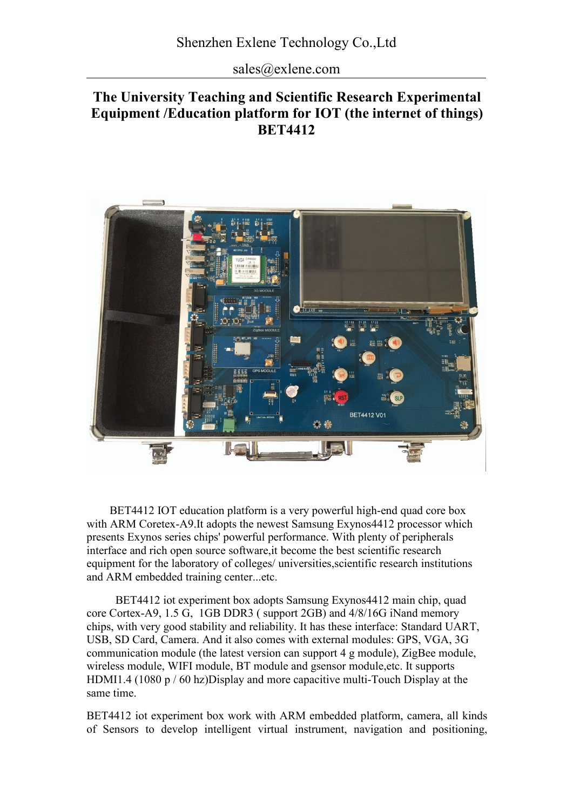sales@exlene.com

# **The University Teaching and Scientific Research Experimental Equipment /Education platform for IOT (the internet of things) BET4412**



BET4412 IOT education platform is a very powerful high-end quad core box with ARM Coretex-A9.It adopts the newest Samsung Exynos4412 processor which presents Exynos series chips' powerful performance. With plenty of peripherals interface and rich open source software,it become the best scientific research equipment for the laboratory of colleges/ universities scientific research institutions and ARM embedded training center...etc.

BET4412 iot experiment box adopts Samsung Exynos4412 main chip, quad core Cortex-A9, 1.5 G, 1GB DDR3 ( support 2GB) and 4/8/16G iNand memory chips, with very good stability and reliability. It has these interface: Standard UART, USB, SD Card, Camera. And it also comes with external modules: GPS, VGA, 3G communication module (the latest version can support 4 g module), ZigBee module, wireless module, WIFI module, BT module and gsensor module,etc. It supports HDMI1.4 (1080 p / 60 hz)Display and more capacitive multi-Touch Display at the same time.

BET4412 iot experiment box work with ARM embedded platform, camera, all kinds of Sensors to develop intelligent virtual instrument, navigation and positioning,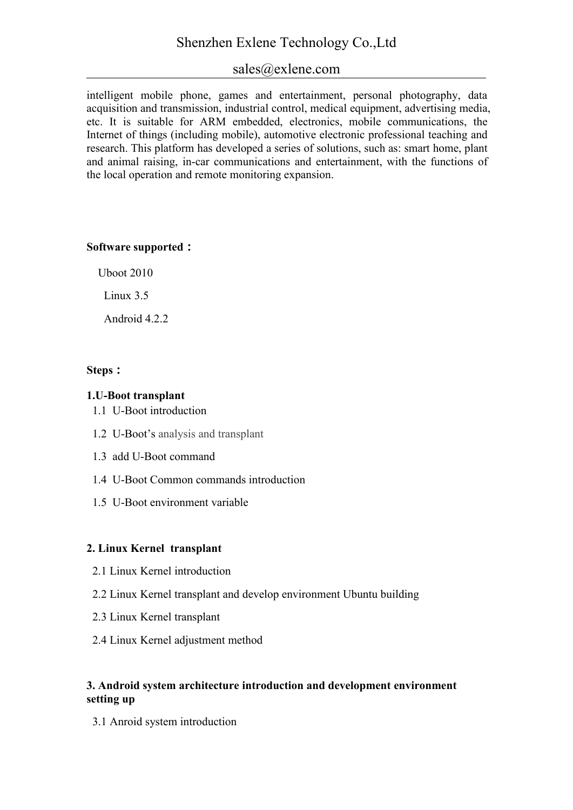# Shenzhen Exlene Technology Co.,Ltd

# sales@exlene.com

intelligent mobile phone, games and entertainment, personal photography, data acquisition and transmission, industrial control, medical equipment, advertising media, etc. It is suitable for ARM embedded, electronics, mobile communications, the Internet of things (including mobile), automotive electronic professional teaching and research. This platform has developed a series of solutions, such as: smart home, plant and animal raising, in-car communications and entertainment, with the functions of the local operation and remote monitoring expansion.

### **Software supported:**

Uboot 2010

Linux 3.5

Android 4.2.2

### **Steps:**

## **1.U-Boot transplant**

- 1.1 U-Boot introduction
- 1.2 U-Boot's analysis and transplant
- 1.3 add U-Boot command
- 1.4 U-Boot Common commands introduction
- 1.5 U-Boot environment variable

## **2. Linux Kernel transplant**

- 2.1 Linux Kernel introduction
- 2.2 Linux Kernel transplant and develop environment Ubuntu building
- 2.3 Linux Kernel transplant
- 2.4 Linux Kernel adjustment method

## **3. Android system architecture introduction and development environment setting up**

3.1 Anroid system introduction